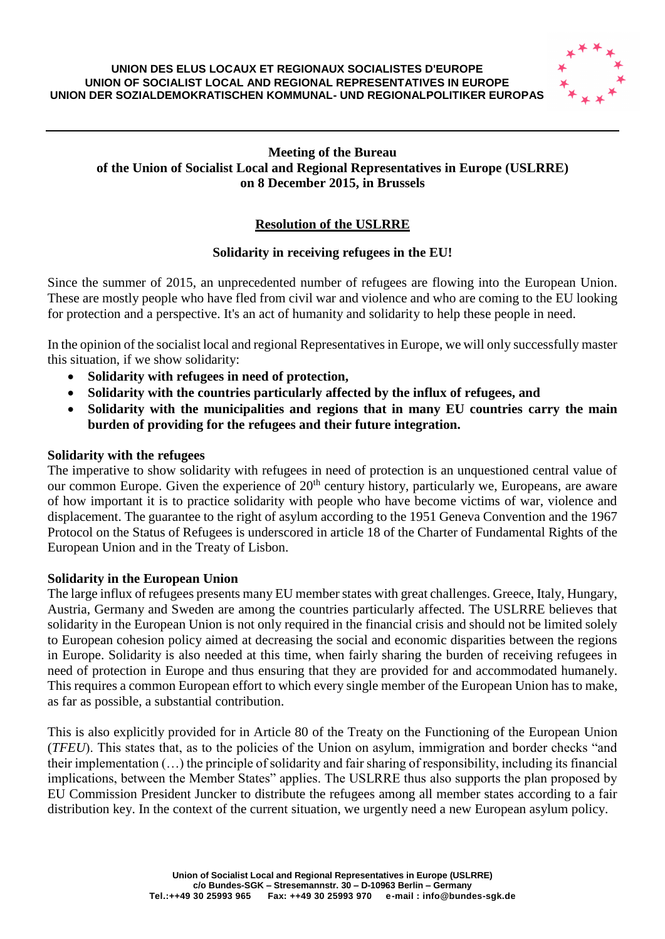#### **UNION DES ELUS LOCAUX ET REGIONAUX SOCIALISTES D'EUROPE UNION OF SOCIALIST LOCAL AND REGIONAL REPRESENTATIVES IN EUROPE UNION DER SOZIALDEMOKRATISCHEN KOMMUNAL- UND REGIONALPOLITIKER EUROPAS**



# **Meeting of the Bureau of the Union of Socialist Local and Regional Representatives in Europe (USLRRE) on 8 December 2015, in Brussels**

# **Resolution of the USLRRE**

# **Solidarity in receiving refugees in the EU!**

Since the summer of 2015, an unprecedented number of refugees are flowing into the European Union. These are mostly people who have fled from civil war and violence and who are coming to the EU looking for protection and a perspective. It's an act of humanity and solidarity to help these people in need.

In the opinion of the socialist local and regional Representatives in Europe, we will only successfully master this situation, if we show solidarity:

- **Solidarity with refugees in need of protection,**
- **Solidarity with the countries particularly affected by the influx of refugees, and**
- **Solidarity with the municipalities and regions that in many EU countries carry the main burden of providing for the refugees and their future integration.**

### **Solidarity with the refugees**

The imperative to show solidarity with refugees in need of protection is an unquestioned central value of our common Europe. Given the experience of  $20<sup>th</sup>$  century history, particularly we, Europeans, are aware of how important it is to practice solidarity with people who have become victims of war, violence and displacement. The guarantee to the right of asylum according to the 1951 Geneva Convention and the 1967 Protocol on the Status of Refugees is underscored in article 18 of the Charter of Fundamental Rights of the European Union and in the Treaty of Lisbon.

# **Solidarity in the European Union**

The large influx of refugees presents many EU member states with great challenges. Greece, Italy, Hungary, Austria, Germany and Sweden are among the countries particularly affected. The USLRRE believes that solidarity in the European Union is not only required in the financial crisis and should not be limited solely to European cohesion policy aimed at decreasing the social and economic disparities between the regions in Europe. Solidarity is also needed at this time, when fairly sharing the burden of receiving refugees in need of protection in Europe and thus ensuring that they are provided for and accommodated humanely. This requires a common European effort to which every single member of the European Union has to make, as far as possible, a substantial contribution.

This is also explicitly provided for in Article 80 of the Treaty on the Functioning of the European Union (*TFEU*). This states that, as to the policies of the Union on asylum, immigration and border checks "and their implementation (…) the principle of solidarity and fair sharing of responsibility, including its financial implications, between the Member States" applies. The USLRRE thus also supports the plan proposed by EU Commission President Juncker to distribute the refugees among all member states according to a fair distribution key. In the context of the current situation, we urgently need a new European asylum policy.